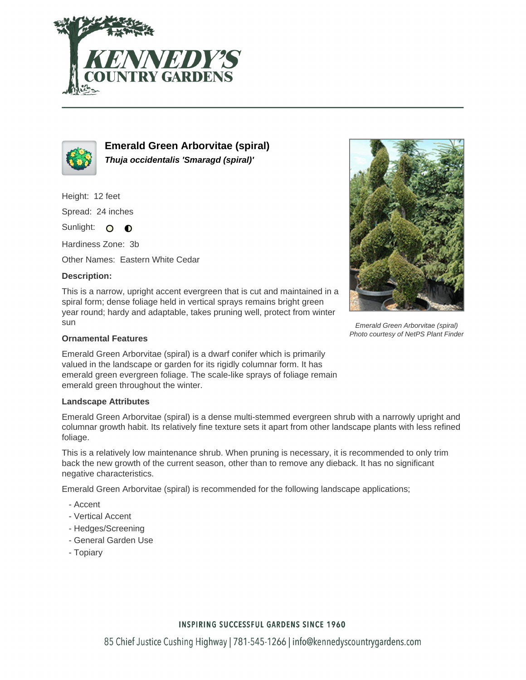



**Emerald Green Arborvitae (spiral) Thuja occidentalis 'Smaragd (spiral)'**

Height: 12 feet

Spread: 24 inches

Sunlight: O **O** 

Hardiness Zone: 3b

Other Names: Eastern White Cedar

## **Description:**

This is a narrow, upright accent evergreen that is cut and maintained in a spiral form; dense foliage held in vertical sprays remains bright green year round; hardy and adaptable, takes pruning well, protect from winter sun

## **Ornamental Features**

Emerald Green Arborvitae (spiral) is a dwarf conifer which is primarily valued in the landscape or garden for its rigidly columnar form. It has emerald green evergreen foliage. The scale-like sprays of foliage remain emerald green throughout the winter.

## **Landscape Attributes**

Emerald Green Arborvitae (spiral) is a dense multi-stemmed evergreen shrub with a narrowly upright and columnar growth habit. Its relatively fine texture sets it apart from other landscape plants with less refined foliage.

This is a relatively low maintenance shrub. When pruning is necessary, it is recommended to only trim back the new growth of the current season, other than to remove any dieback. It has no significant negative characteristics.

Emerald Green Arborvitae (spiral) is recommended for the following landscape applications;

- Accent
- Vertical Accent
- Hedges/Screening
- General Garden Use
- Topiary



Emerald Green Arborvitae (spiral) Photo courtesy of NetPS Plant Finder